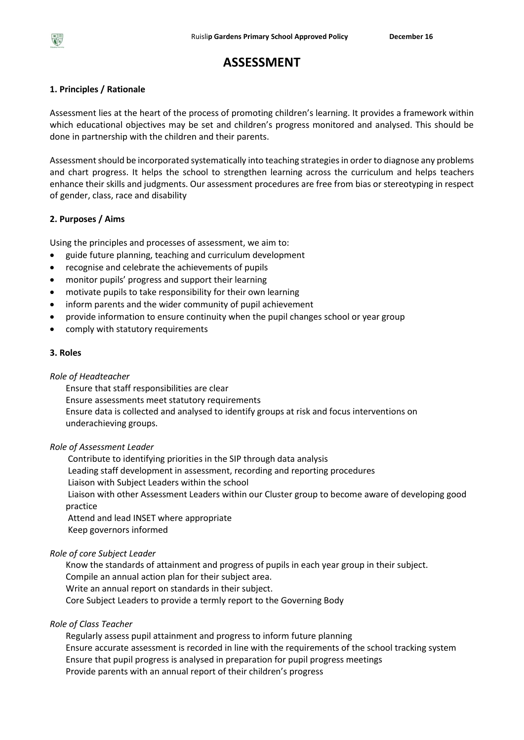

# **ASSESSMENT**

# **1. Principles / Rationale**

Assessment lies at the heart of the process of promoting children's learning. It provides a framework within which educational objectives may be set and children's progress monitored and analysed. This should be done in partnership with the children and their parents.

Assessment should be incorporated systematically into teaching strategies in order to diagnose any problems and chart progress. It helps the school to strengthen learning across the curriculum and helps teachers enhance their skills and judgments. Our assessment procedures are free from bias or stereotyping in respect of gender, class, race and disability

# **2. Purposes / Aims**

Using the principles and processes of assessment, we aim to:

- guide future planning, teaching and curriculum development
- recognise and celebrate the achievements of pupils
- monitor pupils' progress and support their learning
- motivate pupils to take responsibility for their own learning
- inform parents and the wider community of pupil achievement
- provide information to ensure continuity when the pupil changes school or year group
- comply with statutory requirements

## **3. Roles**

## *Role of Headteacher*

Ensure that staff responsibilities are clear Ensure assessments meet statutory requirements Ensure data is collected and analysed to identify groups at risk and focus interventions on underachieving groups.

## *Role of Assessment Leader*

Contribute to identifying priorities in the SIP through data analysis Leading staff development in assessment, recording and reporting procedures Liaison with Subject Leaders within the school Liaison with other Assessment Leaders within our Cluster group to become aware of developing good practice Attend and lead INSET where appropriate Keep governors informed

## *Role of core Subject Leader*

Know the standards of attainment and progress of pupils in each year group in their subject. Compile an annual action plan for their subject area. Write an annual report on standards in their subject. Core Subject Leaders to provide a termly report to the Governing Body

## *Role of Class Teacher*

Regularly assess pupil attainment and progress to inform future planning Ensure accurate assessment is recorded in line with the requirements of the school tracking system Ensure that pupil progress is analysed in preparation for pupil progress meetings Provide parents with an annual report of their children's progress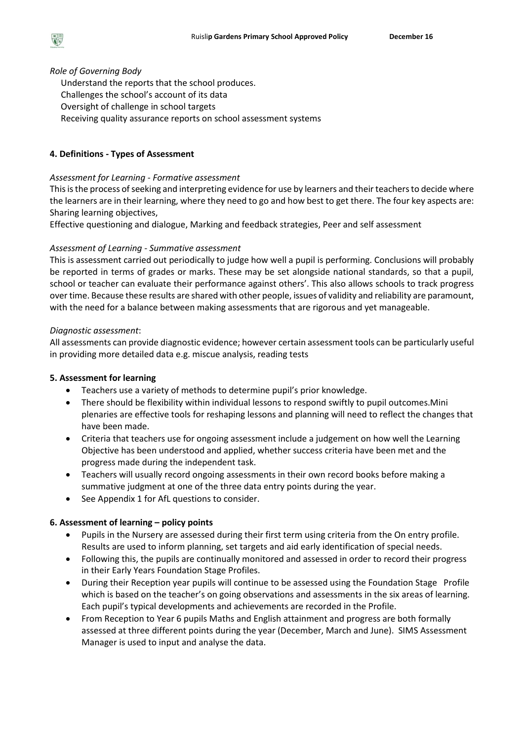#### *Role of Governing Body*

 Understand the reports that the school produces. Challenges the school's account of its data

Oversight of challenge in school targets

Receiving quality assurance reports on school assessment systems

# **4. Definitions - Types of Assessment**

## *Assessment for Learning* - *Formative assessment*

This is the process of seeking and interpreting evidence for use by learners and their teachers to decide where the learners are in their learning, where they need to go and how best to get there. The four key aspects are: Sharing learning objectives,

Effective questioning and dialogue, Marking and feedback strategies, Peer and self assessment

# *Assessment of Learning* - *Summative assessment*

This is assessment carried out periodically to judge how well a pupil is performing. Conclusions will probably be reported in terms of grades or marks. These may be set alongside national standards, so that a pupil, school or teacher can evaluate their performance against others'. This also allows schools to track progress over time. Because these results are shared with other people, issues of validity and reliability are paramount, with the need for a balance between making assessments that are rigorous and yet manageable.

## *Diagnostic assessment*:

All assessments can provide diagnostic evidence; however certain assessment tools can be particularly useful in providing more detailed data e.g. miscue analysis, reading tests

## **5. Assessment for learning**

- Teachers use a variety of methods to determine pupil's prior knowledge.
- There should be flexibility within individual lessons to respond swiftly to pupil outcomes.Mini plenaries are effective tools for reshaping lessons and planning will need to reflect the changes that have been made.
- Criteria that teachers use for ongoing assessment include a judgement on how well the Learning Objective has been understood and applied, whether success criteria have been met and the progress made during the independent task.
- Teachers will usually record ongoing assessments in their own record books before making a summative judgment at one of the three data entry points during the year.
- See Appendix 1 for AfL questions to consider.

## **6. Assessment of learning – policy points**

- Pupils in the Nursery are assessed during their first term using criteria from the On entry profile. Results are used to inform planning, set targets and aid early identification of special needs.
- Following this, the pupils are continually monitored and assessed in order to record their progress in their Early Years Foundation Stage Profiles.
- During their Reception year pupils will continue to be assessed using the Foundation Stage Profile which is based on the teacher's on going observations and assessments in the six areas of learning. Each pupil's typical developments and achievements are recorded in the Profile.
- From Reception to Year 6 pupils Maths and English attainment and progress are both formally assessed at three different points during the year (December, March and June). SIMS Assessment Manager is used to input and analyse the data.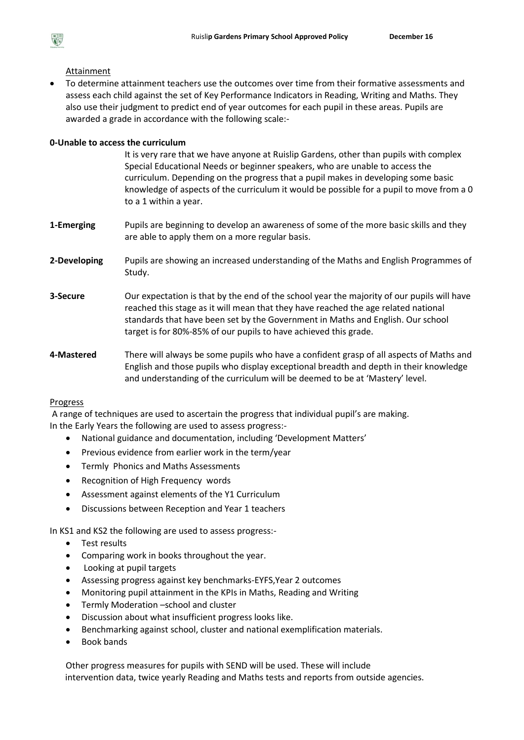#### Attainment

 To determine attainment teachers use the outcomes over time from their formative assessments and assess each child against the set of Key Performance Indicators in Reading, Writing and Maths. They also use their judgment to predict end of year outcomes for each pupil in these areas. Pupils are awarded a grade in accordance with the following scale:-

#### **0-Unable to access the curriculum**

It is very rare that we have anyone at Ruislip Gardens, other than pupils with complex Special Educational Needs or beginner speakers, who are unable to access the curriculum. Depending on the progress that a pupil makes in developing some basic knowledge of aspects of the curriculum it would be possible for a pupil to move from a 0 to a 1 within a year.

- **1-Emerging** Pupils are beginning to develop an awareness of some of the more basic skills and they are able to apply them on a more regular basis.
- **2-Developing** Pupils are showing an increased understanding of the Maths and English Programmes of Study.
- **3-Secure** Our expectation is that by the end of the school year the majority of our pupils will have reached this stage as it will mean that they have reached the age related national standards that have been set by the Government in Maths and English. Our school target is for 80%-85% of our pupils to have achieved this grade.
- **4-Mastered** There will always be some pupils who have a confident grasp of all aspects of Maths and English and those pupils who display exceptional breadth and depth in their knowledge and understanding of the curriculum will be deemed to be at 'Mastery' level.

## Progress

A range of techniques are used to ascertain the progress that individual pupil's are making. In the Early Years the following are used to assess progress:-

- National guidance and documentation, including 'Development Matters'
- Previous evidence from earlier work in the term/year
- **•** Termly Phonics and Maths Assessments
- Recognition of High Frequency words
- Assessment against elements of the Y1 Curriculum
- Discussions between Reception and Year 1 teachers

In KS1 and KS2 the following are used to assess progress:-

- Test results
- Comparing work in books throughout the year.
- Looking at pupil targets
- Assessing progress against key benchmarks-EYFS,Year 2 outcomes
- Monitoring pupil attainment in the KPIs in Maths, Reading and Writing
- Termly Moderation –school and cluster
- Discussion about what insufficient progress looks like.
- Benchmarking against school, cluster and national exemplification materials.
- Book bands

Other progress measures for pupils with SEND will be used. These will include intervention data, twice yearly Reading and Maths tests and reports from outside agencies.

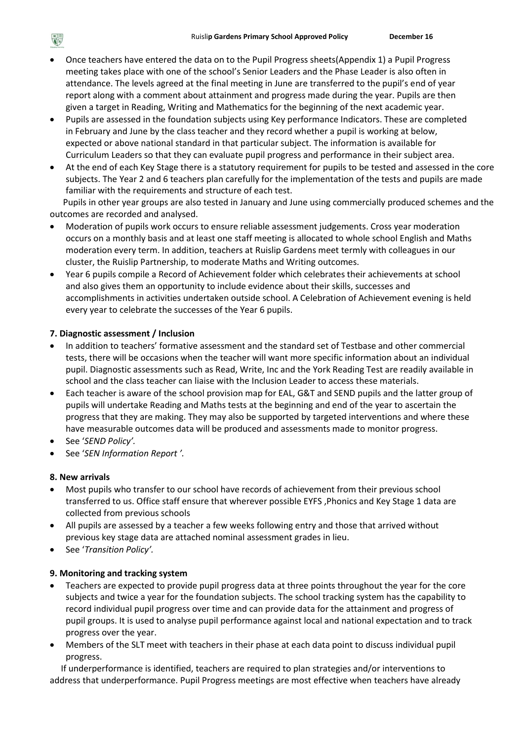- Once teachers have entered the data on to the Pupil Progress sheets(Appendix 1) a Pupil Progress meeting takes place with one of the school's Senior Leaders and the Phase Leader is also often in attendance. The levels agreed at the final meeting in June are transferred to the pupil's end of year report along with a comment about attainment and progress made during the year. Pupils are then given a target in Reading, Writing and Mathematics for the beginning of the next academic year.
- Pupils are assessed in the foundation subjects using Key performance Indicators. These are completed in February and June by the class teacher and they record whether a pupil is working at below, expected or above national standard in that particular subject. The information is available for Curriculum Leaders so that they can evaluate pupil progress and performance in their subject area.
- At the end of each Key Stage there is a statutory requirement for pupils to be tested and assessed in the core subjects. The Year 2 and 6 teachers plan carefully for the implementation of the tests and pupils are made familiar with the requirements and structure of each test.

 Pupils in other year groups are also tested in January and June using commercially produced schemes and the outcomes are recorded and analysed.

- Moderation of pupils work occurs to ensure reliable assessment judgements. Cross year moderation occurs on a monthly basis and at least one staff meeting is allocated to whole school English and Maths moderation every term. In addition, teachers at Ruislip Gardens meet termly with colleagues in our cluster, the Ruislip Partnership, to moderate Maths and Writing outcomes.
- Year 6 pupils compile a Record of Achievement folder which celebrates their achievements at school and also gives them an opportunity to include evidence about their skills, successes and accomplishments in activities undertaken outside school. A Celebration of Achievement evening is held every year to celebrate the successes of the Year 6 pupils.

# **7. Diagnostic assessment / Inclusion**

- In addition to teachers' formative assessment and the standard set of Testbase and other commercial tests, there will be occasions when the teacher will want more specific information about an individual pupil. Diagnostic assessments such as Read, Write, Inc and the York Reading Test are readily available in school and the class teacher can liaise with the Inclusion Leader to access these materials.
- Each teacher is aware of the school provision map for EAL, G&T and SEND pupils and the latter group of pupils will undertake Reading and Maths tests at the beginning and end of the year to ascertain the progress that they are making. They may also be supported by targeted interventions and where these have measurable outcomes data will be produced and assessments made to monitor progress.
- See '*SEND Policy'.*
- See '*SEN Information Report '.*

## **8. New arrivals**

- Most pupils who transfer to our school have records of achievement from their previous school transferred to us. Office staff ensure that wherever possible EYFS ,Phonics and Key Stage 1 data are collected from previous schools
- All pupils are assessed by a teacher a few weeks following entry and those that arrived without previous key stage data are attached nominal assessment grades in lieu.
- See '*Transition Policy'.*

## **9. Monitoring and tracking system**

- Teachers are expected to provide pupil progress data at three points throughout the year for the core subjects and twice a year for the foundation subjects. The school tracking system has the capability to record individual pupil progress over time and can provide data for the attainment and progress of pupil groups. It is used to analyse pupil performance against local and national expectation and to track progress over the year.
- Members of the SLT meet with teachers in their phase at each data point to discuss individual pupil progress.

 If underperformance is identified, teachers are required to plan strategies and/or interventions to address that underperformance. Pupil Progress meetings are most effective when teachers have already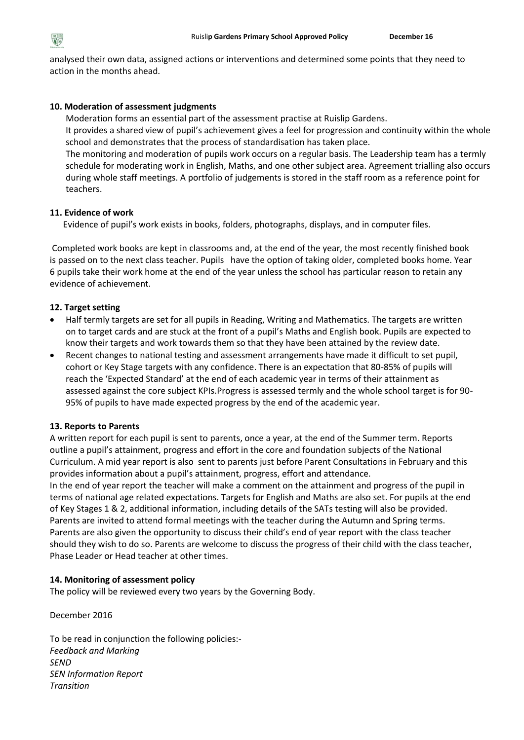

analysed their own data, assigned actions or interventions and determined some points that they need to action in the months ahead.

#### **10. Moderation of assessment judgments**

Moderation forms an essential part of the assessment practise at Ruislip Gardens. It provides a shared view of pupil's achievement gives a feel for progression and continuity within the whole school and demonstrates that the process of standardisation has taken place. The monitoring and moderation of pupils work occurs on a regular basis. The Leadership team has a termly

schedule for moderating work in English, Maths, and one other subject area. Agreement trialling also occurs during whole staff meetings. A portfolio of judgements is stored in the staff room as a reference point for teachers.

#### **11. Evidence of work**

Evidence of pupil's work exists in books, folders, photographs, displays, and in computer files.

Completed work books are kept in classrooms and, at the end of the year, the most recently finished book is passed on to the next class teacher. Pupils have the option of taking older, completed books home. Year 6 pupils take their work home at the end of the year unless the school has particular reason to retain any evidence of achievement.

#### **12. Target setting**

- Half termly targets are set for all pupils in Reading, Writing and Mathematics. The targets are written on to target cards and are stuck at the front of a pupil's Maths and English book. Pupils are expected to know their targets and work towards them so that they have been attained by the review date.
- Recent changes to national testing and assessment arrangements have made it difficult to set pupil, cohort or Key Stage targets with any confidence. There is an expectation that 80-85% of pupils will reach the 'Expected Standard' at the end of each academic year in terms of their attainment as assessed against the core subject KPIs.Progress is assessed termly and the whole school target is for 90- 95% of pupils to have made expected progress by the end of the academic year.

#### **13. Reports to Parents**

A written report for each pupil is sent to parents, once a year, at the end of the Summer term. Reports outline a pupil's attainment, progress and effort in the core and foundation subjects of the National Curriculum. A mid year report is also sent to parents just before Parent Consultations in February and this provides information about a pupil's attainment, progress, effort and attendance.

In the end of year report the teacher will make a comment on the attainment and progress of the pupil in terms of national age related expectations. Targets for English and Maths are also set. For pupils at the end of Key Stages 1 & 2, additional information, including details of the SATs testing will also be provided. Parents are invited to attend formal meetings with the teacher during the Autumn and Spring terms. Parents are also given the opportunity to discuss their child's end of year report with the class teacher should they wish to do so. Parents are welcome to discuss the progress of their child with the class teacher, Phase Leader or Head teacher at other times.

#### **14. Monitoring of assessment policy**

The policy will be reviewed every two years by the Governing Body.

December 2016

To be read in conjunction the following policies:- *Feedback and Marking SEND SEN Information Report Transition*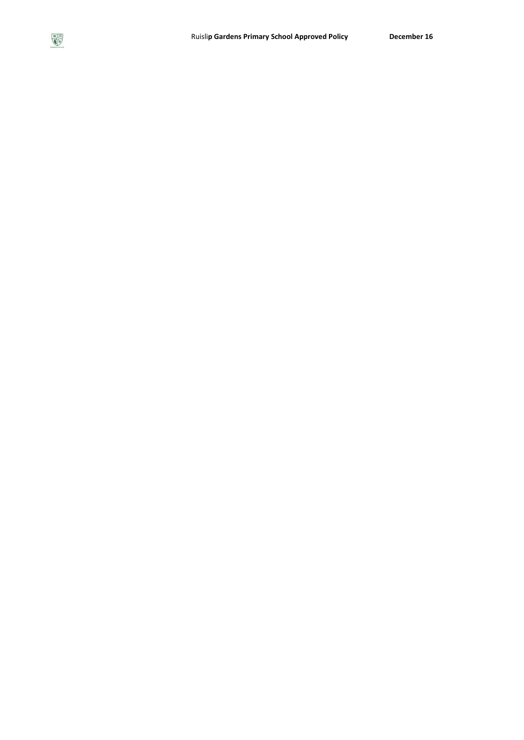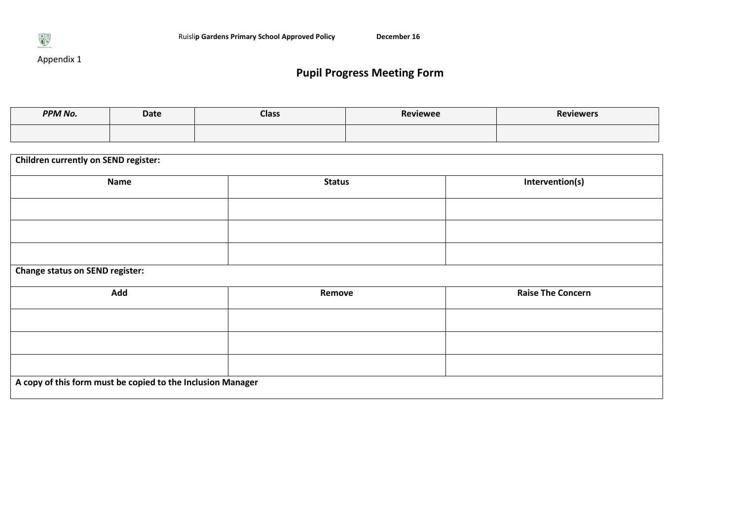

Appendix 1

# **Pupil Progress Meeting Form**

| PPM No. | Date | <b>Class</b> | <b>Reviewee</b> | <b>Reviewers</b> |  |
|---------|------|--------------|-----------------|------------------|--|
|         |      |              |                 |                  |  |

| <b>Children currently on SEND register:</b>                 |               |                          |  |  |
|-------------------------------------------------------------|---------------|--------------------------|--|--|
| <b>Name</b>                                                 | <b>Status</b> | Intervention(s)          |  |  |
|                                                             |               |                          |  |  |
|                                                             |               |                          |  |  |
|                                                             |               |                          |  |  |
|                                                             |               |                          |  |  |
|                                                             |               |                          |  |  |
| <b>Change status on SEND register:</b>                      |               |                          |  |  |
| Add                                                         | Remove        | <b>Raise The Concern</b> |  |  |
|                                                             |               |                          |  |  |
|                                                             |               |                          |  |  |
|                                                             |               |                          |  |  |
| A copy of this form must be copied to the Inclusion Manager |               |                          |  |  |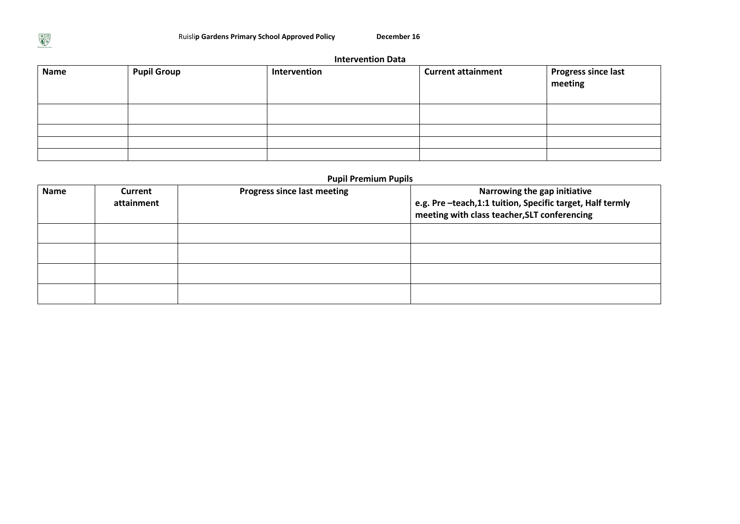| Name | <b>Pupil Group</b> | Intervention | <b>Current attainment</b> | Progress since last<br>meeting |
|------|--------------------|--------------|---------------------------|--------------------------------|
|      |                    |              |                           |                                |
|      |                    |              |                           |                                |
|      |                    |              |                           |                                |
|      |                    |              |                           |                                |

# **Pupil Premium Pupils**

| <b>Name</b> | Current<br>attainment | <b>Progress since last meeting</b> | Narrowing the gap initiative<br>e.g. Pre -teach,1:1 tuition, Specific target, Half termly<br>meeting with class teacher, SLT conferencing |
|-------------|-----------------------|------------------------------------|-------------------------------------------------------------------------------------------------------------------------------------------|
|             |                       |                                    |                                                                                                                                           |
|             |                       |                                    |                                                                                                                                           |
|             |                       |                                    |                                                                                                                                           |
|             |                       |                                    |                                                                                                                                           |

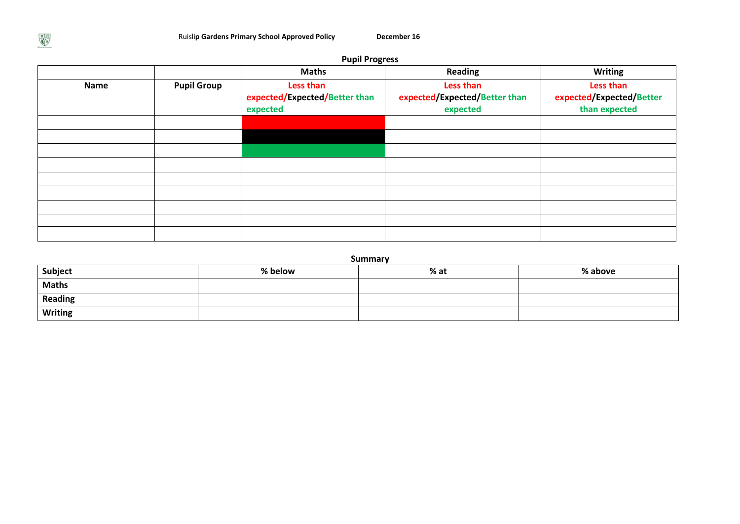

|             |                    | <b>Maths</b>                                           | Reading                                                | <b>Writing</b>                                         |  |  |  |
|-------------|--------------------|--------------------------------------------------------|--------------------------------------------------------|--------------------------------------------------------|--|--|--|
| <b>Name</b> | <b>Pupil Group</b> | Less than<br>expected/Expected/Better than<br>expected | Less than<br>expected/Expected/Better than<br>expected | Less than<br>expected/Expected/Better<br>than expected |  |  |  |
|             |                    |                                                        |                                                        |                                                        |  |  |  |
|             |                    |                                                        |                                                        |                                                        |  |  |  |
|             |                    |                                                        |                                                        |                                                        |  |  |  |
|             |                    |                                                        |                                                        |                                                        |  |  |  |
|             |                    |                                                        |                                                        |                                                        |  |  |  |
|             |                    |                                                        |                                                        |                                                        |  |  |  |
|             |                    |                                                        |                                                        |                                                        |  |  |  |
|             |                    |                                                        |                                                        |                                                        |  |  |  |
|             |                    |                                                        |                                                        |                                                        |  |  |  |

#### **Pupil Progress**

# **Summary**

| Subject        | % below | % at | % above |
|----------------|---------|------|---------|
| <b>Maths</b>   |         |      |         |
| Reading        |         |      |         |
| <b>Writing</b> |         |      |         |